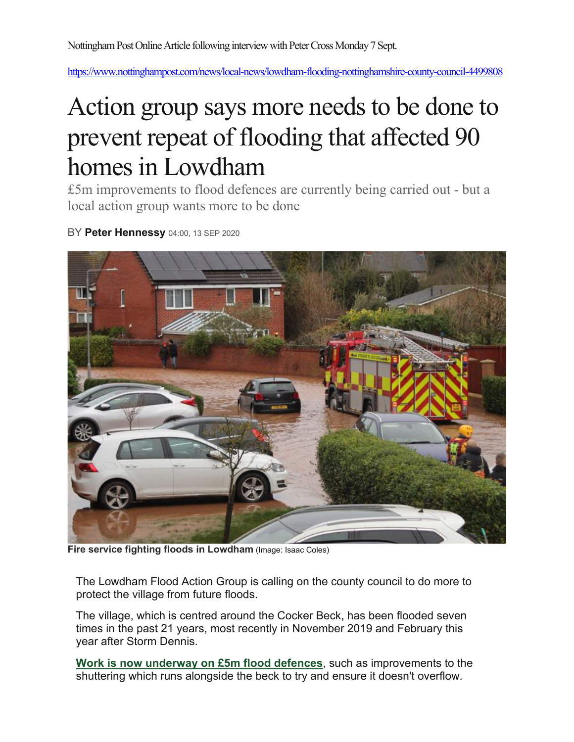https://www.nottinghampost.com/news/local-news/lowdham-flooding-nottinghamshire-county-council-4499808

## Action group says more needs to be done to prevent repeat of flooding that affected 90 homes in Lowdham

£5m improvements to flood defences are currently being carried out - but a local action group wants more to be done

BY **Peter Hennessy** 04:00, 13 SEP 2020



**Fire service fighting floods in Lowdham** (Image: Isaac Coles)

The Lowdham Flood Action Group is calling on the county council to do more to protect the village from future floods.

The village, which is centred around the Cocker Beck, has been flooded seven times in the past 21 years, most recently in November 2019 and February this year after Storm Dennis.

**Work is now underway on £5m flood defences**, such as improvements to the shuttering which runs alongside the beck to try and ensure it doesn't overflow.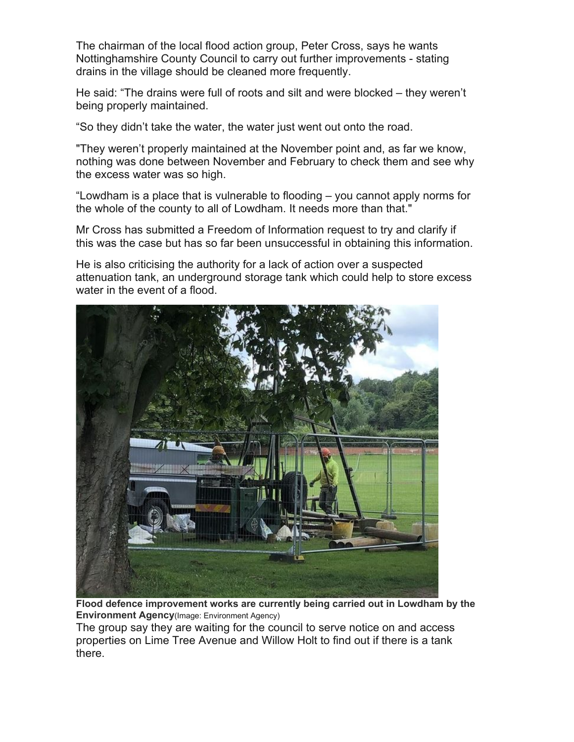The chairman of the local flood action group, Peter Cross, says he wants Nottinghamshire County Council to carry out further improvements - stating drains in the village should be cleaned more frequently.

He said: "The drains were full of roots and silt and were blocked – they weren't being properly maintained.

"So they didn't take the water, the water just went out onto the road.

"They weren't properly maintained at the November point and, as far we know, nothing was done between November and February to check them and see why the excess water was so high.

"Lowdham is a place that is vulnerable to flooding – you cannot apply norms for the whole of the county to all of Lowdham. It needs more than that."

Mr Cross has submitted a Freedom of Information request to try and clarify if this was the case but has so far been unsuccessful in obtaining this information.

He is also criticising the authority for a lack of action over a suspected attenuation tank, an underground storage tank which could help to store excess water in the event of a flood.



**Flood defence improvement works are currently being carried out in Lowdham by the Environment Agency**(Image: Environment Agency)

The group say they are waiting for the council to serve notice on and access properties on Lime Tree Avenue and Willow Holt to find out if there is a tank there.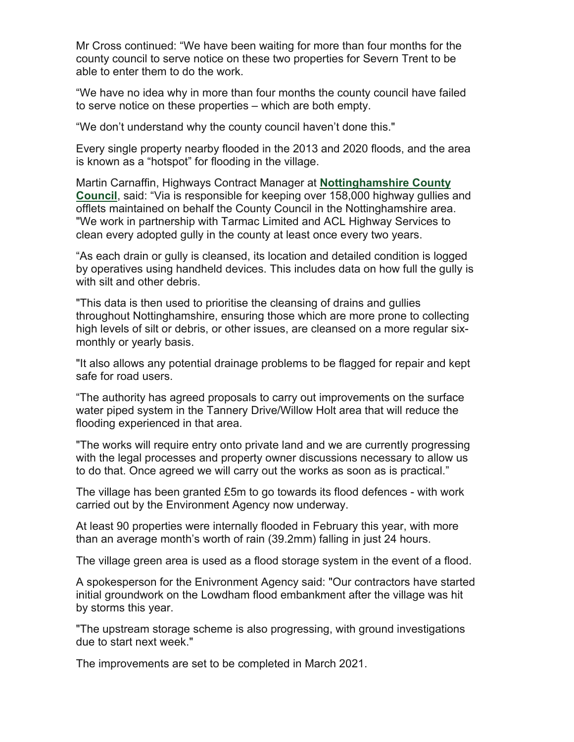Mr Cross continued: "We have been waiting for more than four months for the county council to serve notice on these two properties for Severn Trent to be able to enter them to do the work.

"We have no idea why in more than four months the county council have failed to serve notice on these properties – which are both empty.

"We don't understand why the county council haven't done this."

Every single property nearby flooded in the 2013 and 2020 floods, and the area is known as a "hotspot" for flooding in the village.

Martin Carnaffin, Highways Contract Manager at **Nottinghamshire County Council**, said: "Via is responsible for keeping over 158,000 highway gullies and offlets maintained on behalf the County Council in the Nottinghamshire area. "We work in partnership with Tarmac Limited and ACL Highway Services to clean every adopted gully in the county at least once every two years.

"As each drain or gully is cleansed, its location and detailed condition is logged by operatives using handheld devices. This includes data on how full the gully is with silt and other debris.

"This data is then used to prioritise the cleansing of drains and gullies throughout Nottinghamshire, ensuring those which are more prone to collecting high levels of silt or debris, or other issues, are cleansed on a more regular sixmonthly or yearly basis.

"It also allows any potential drainage problems to be flagged for repair and kept safe for road users.

"The authority has agreed proposals to carry out improvements on the surface water piped system in the Tannery Drive/Willow Holt area that will reduce the flooding experienced in that area.

"The works will require entry onto private land and we are currently progressing with the legal processes and property owner discussions necessary to allow us to do that. Once agreed we will carry out the works as soon as is practical."

The village has been granted £5m to go towards its flood defences - with work carried out by the Environment Agency now underway.

At least 90 properties were internally flooded in February this year, with more than an average month's worth of rain (39.2mm) falling in just 24 hours.

The village green area is used as a flood storage system in the event of a flood.

A spokesperson for the Enivronment Agency said: "Our contractors have started initial groundwork on the Lowdham flood embankment after the village was hit by storms this year.

"The upstream storage scheme is also progressing, with ground investigations due to start next week."

The improvements are set to be completed in March 2021.